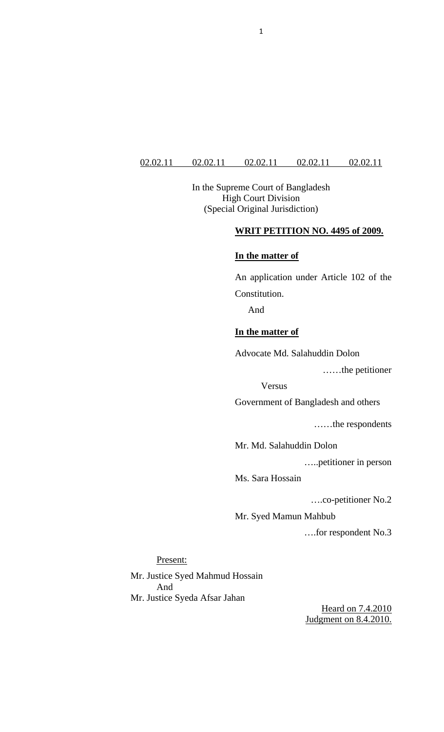### 02.02.11 02.02.11 02.02.11 02.02.11 02.02.11

In the Supreme Court of Bangladesh High Court Division (Special Original Jurisdiction)

# **WRIT PETITION NO. 4495 of 2009.**

### **In the matter of**

An application under Article 102 of the Constitution.

And

## **In the matter of**

Advocate Md. Salahuddin Dolon

……the petitioner

Versus

Government of Bangladesh and others

……the respondents

Mr. Md. Salahuddin Dolon

…..petitioner in person

Ms. Sara Hossain

….co-petitioner No.2

Mr. Syed Mamun Mahbub

….for respondent No.3

#### Present:

Mr. Justice Syed Mahmud Hossain And Mr. Justice Syeda Afsar Jahan

> Heard on 7.4.2010 Judgment on 8.4.2010.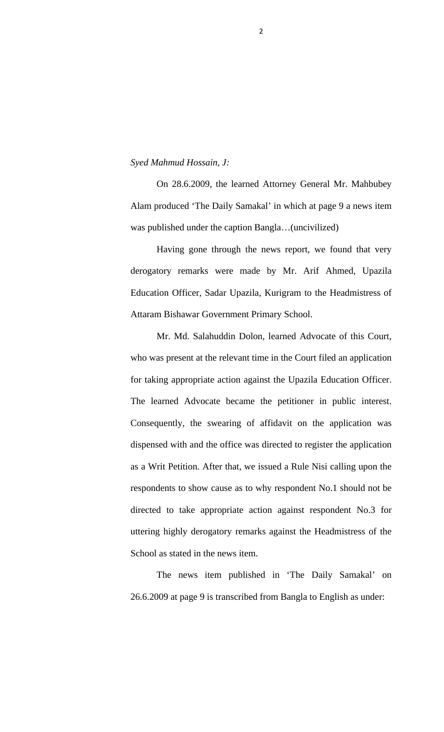#### *Syed Mahmud Hossain, J:*

 On 28.6.2009, the learned Attorney General Mr. Mahbubey Alam produced 'The Daily Samakal' in which at page 9 a news item was published under the caption Bangla…(uncivilized)

Having gone through the news report, we found that very derogatory remarks were made by Mr. Arif Ahmed, Upazila Education Officer, Sadar Upazila, Kurigram to the Headmistress of Attaram Bishawar Government Primary School.

 Mr. Md. Salahuddin Dolon, learned Advocate of this Court, who was present at the relevant time in the Court filed an application for taking appropriate action against the Upazila Education Officer. The learned Advocate became the petitioner in public interest. Consequently, the swearing of affidavit on the application was dispensed with and the office was directed to register the application as a Writ Petition. After that, we issued a Rule Nisi calling upon the respondents to show cause as to why respondent No.1 should not be directed to take appropriate action against respondent No.3 for uttering highly derogatory remarks against the Headmistress of the School as stated in the news item.

 The news item published in 'The Daily Samakal' on 26.6.2009 at page 9 is transcribed from Bangla to English as under: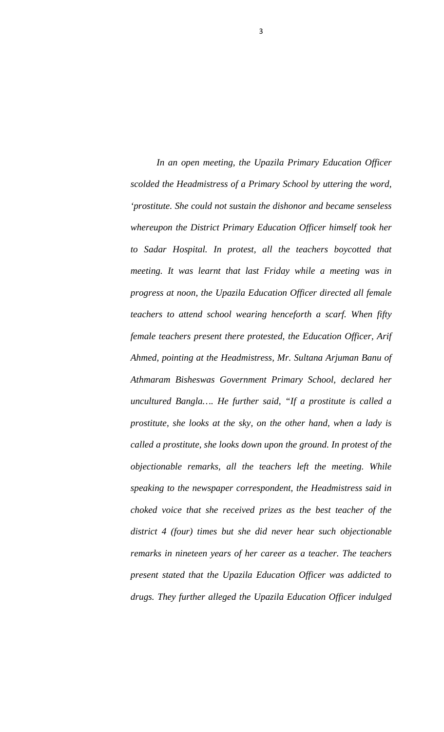*In an open meeting, the Upazila Primary Education Officer scolded the Headmistress of a Primary School by uttering the word, 'prostitute. She could not sustain the dishonor and became senseless whereupon the District Primary Education Officer himself took her to Sadar Hospital. In protest, all the teachers boycotted that meeting. It was learnt that last Friday while a meeting was in progress at noon, the Upazila Education Officer directed all female teachers to attend school wearing henceforth a scarf. When fifty female teachers present there protested, the Education Officer, Arif Ahmed, pointing at the Headmistress, Mr. Sultana Arjuman Banu of Athmaram Bisheswas Government Primary School, declared her uncultured Bangla…. He further said, "If a prostitute is called a prostitute, she looks at the sky, on the other hand, when a lady is called a prostitute, she looks down upon the ground. In protest of the objectionable remarks, all the teachers left the meeting. While speaking to the newspaper correspondent, the Headmistress said in choked voice that she received prizes as the best teacher of the district 4 (four) times but she did never hear such objectionable remarks in nineteen years of her career as a teacher. The teachers present stated that the Upazila Education Officer was addicted to drugs. They further alleged the Upazila Education Officer indulged* 

3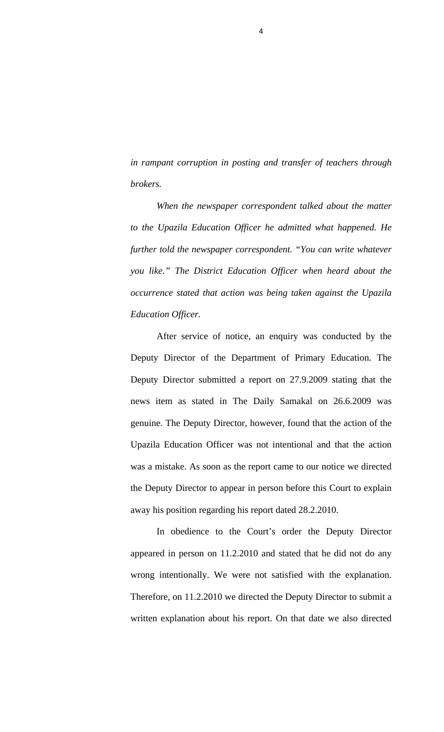*in rampant corruption in posting and transfer of teachers through brokers.* 

4

*When the newspaper correspondent talked about the matter to the Upazila Education Officer he admitted what happened. He further told the newspaper correspondent. "You can write whatever you like." The District Education Officer when heard about the occurrence stated that action was being taken against the Upazila Education Officer.*

 After service of notice, an enquiry was conducted by the Deputy Director of the Department of Primary Education. The Deputy Director submitted a report on 27.9.2009 stating that the news item as stated in The Daily Samakal on 26.6.2009 was genuine. The Deputy Director, however, found that the action of the Upazila Education Officer was not intentional and that the action was a mistake. As soon as the report came to our notice we directed the Deputy Director to appear in person before this Court to explain away his position regarding his report dated 28.2.2010.

 In obedience to the Court's order the Deputy Director appeared in person on 11.2.2010 and stated that he did not do any wrong intentionally. We were not satisfied with the explanation. Therefore, on 11.2.2010 we directed the Deputy Director to submit a written explanation about his report. On that date we also directed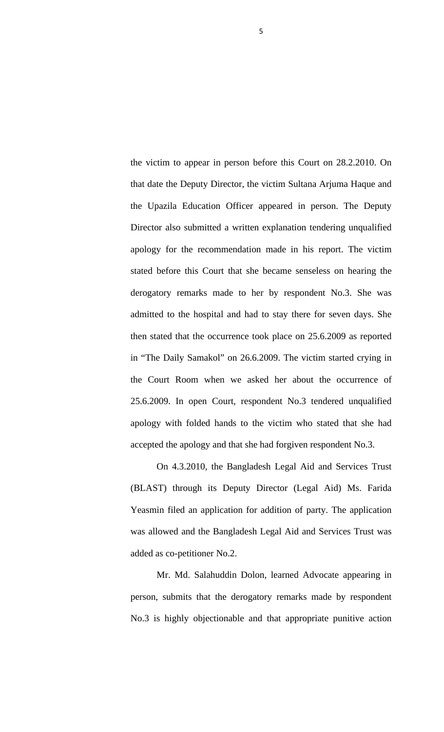the victim to appear in person before this Court on 28.2.2010. On that date the Deputy Director, the victim Sultana Arjuma Haque and the Upazila Education Officer appeared in person. The Deputy Director also submitted a written explanation tendering unqualified apology for the recommendation made in his report. The victim stated before this Court that she became senseless on hearing the derogatory remarks made to her by respondent No.3. She was admitted to the hospital and had to stay there for seven days. She then stated that the occurrence took place on 25.6.2009 as reported in "The Daily Samakol" on 26.6.2009. The victim started crying in the Court Room when we asked her about the occurrence of 25.6.2009. In open Court, respondent No.3 tendered unqualified apology with folded hands to the victim who stated that she had accepted the apology and that she had forgiven respondent No.3.

 On 4.3.2010, the Bangladesh Legal Aid and Services Trust (BLAST) through its Deputy Director (Legal Aid) Ms. Farida Yeasmin filed an application for addition of party. The application was allowed and the Bangladesh Legal Aid and Services Trust was added as co-petitioner No.2.

 Mr. Md. Salahuddin Dolon, learned Advocate appearing in person, submits that the derogatory remarks made by respondent No.3 is highly objectionable and that appropriate punitive action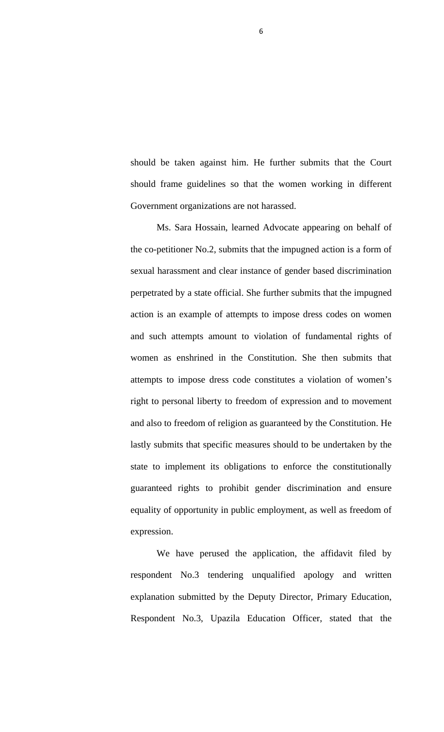should be taken against him. He further submits that the Court should frame guidelines so that the women working in different Government organizations are not harassed.

 Ms. Sara Hossain, learned Advocate appearing on behalf of the co-petitioner No.2, submits that the impugned action is a form of sexual harassment and clear instance of gender based discrimination perpetrated by a state official. She further submits that the impugned action is an example of attempts to impose dress codes on women and such attempts amount to violation of fundamental rights of women as enshrined in the Constitution. She then submits that attempts to impose dress code constitutes a violation of women's right to personal liberty to freedom of expression and to movement and also to freedom of religion as guaranteed by the Constitution. He lastly submits that specific measures should to be undertaken by the state to implement its obligations to enforce the constitutionally guaranteed rights to prohibit gender discrimination and ensure equality of opportunity in public employment, as well as freedom of expression.

 We have perused the application, the affidavit filed by respondent No.3 tendering unqualified apology and written explanation submitted by the Deputy Director, Primary Education, Respondent No.3, Upazila Education Officer, stated that the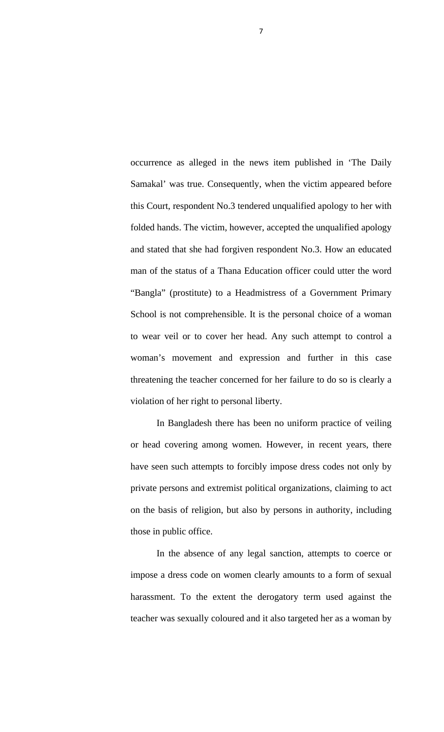occurrence as alleged in the news item published in 'The Daily Samakal' was true. Consequently, when the victim appeared before this Court, respondent No.3 tendered unqualified apology to her with folded hands. The victim, however, accepted the unqualified apology and stated that she had forgiven respondent No.3. How an educated man of the status of a Thana Education officer could utter the word "Bangla" (prostitute) to a Headmistress of a Government Primary School is not comprehensible. It is the personal choice of a woman to wear veil or to cover her head. Any such attempt to control a woman's movement and expression and further in this case threatening the teacher concerned for her failure to do so is clearly a violation of her right to personal liberty.

 In Bangladesh there has been no uniform practice of veiling or head covering among women. However, in recent years, there have seen such attempts to forcibly impose dress codes not only by private persons and extremist political organizations, claiming to act on the basis of religion, but also by persons in authority, including those in public office.

 In the absence of any legal sanction, attempts to coerce or impose a dress code on women clearly amounts to a form of sexual harassment. To the extent the derogatory term used against the teacher was sexually coloured and it also targeted her as a woman by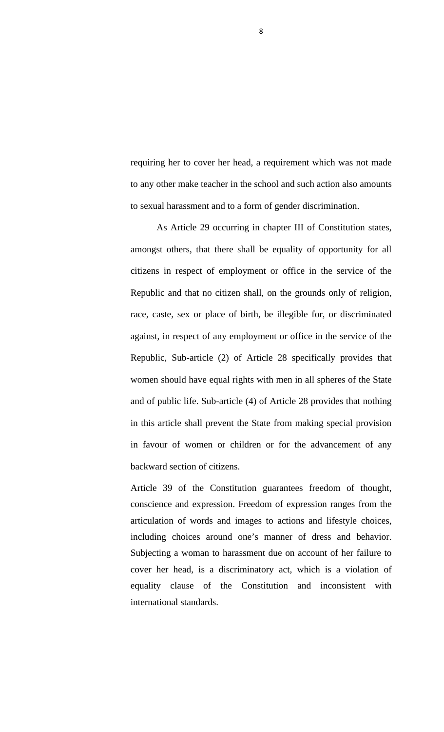requiring her to cover her head, a requirement which was not made to any other make teacher in the school and such action also amounts to sexual harassment and to a form of gender discrimination.

 As Article 29 occurring in chapter III of Constitution states, amongst others, that there shall be equality of opportunity for all citizens in respect of employment or office in the service of the Republic and that no citizen shall, on the grounds only of religion, race, caste, sex or place of birth, be illegible for, or discriminated against, in respect of any employment or office in the service of the Republic, Sub-article (2) of Article 28 specifically provides that women should have equal rights with men in all spheres of the State and of public life. Sub-article (4) of Article 28 provides that nothing in this article shall prevent the State from making special provision in favour of women or children or for the advancement of any backward section of citizens.

Article 39 of the Constitution guarantees freedom of thought, conscience and expression. Freedom of expression ranges from the articulation of words and images to actions and lifestyle choices, including choices around one's manner of dress and behavior. Subjecting a woman to harassment due on account of her failure to cover her head, is a discriminatory act, which is a violation of equality clause of the Constitution and inconsistent with international standards.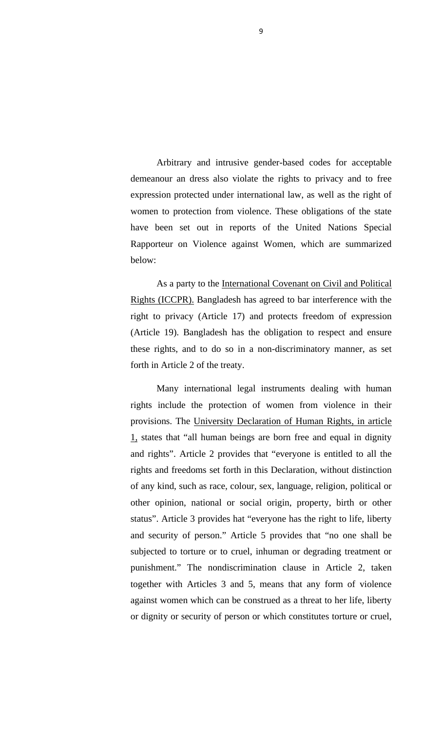Arbitrary and intrusive gender-based codes for acceptable demeanour an dress also violate the rights to privacy and to free expression protected under international law, as well as the right of women to protection from violence. These obligations of the state have been set out in reports of the United Nations Special Rapporteur on Violence against Women, which are summarized below:

 As a party to the International Covenant on Civil and Political Rights (ICCPR). Bangladesh has agreed to bar interference with the right to privacy (Article 17) and protects freedom of expression (Article 19). Bangladesh has the obligation to respect and ensure these rights, and to do so in a non-discriminatory manner, as set forth in Article 2 of the treaty.

 Many international legal instruments dealing with human rights include the protection of women from violence in their provisions. The University Declaration of Human Rights, in article 1, states that "all human beings are born free and equal in dignity and rights". Article 2 provides that "everyone is entitled to all the rights and freedoms set forth in this Declaration, without distinction of any kind, such as race, colour, sex, language, religion, political or other opinion, national or social origin, property, birth or other status". Article 3 provides hat "everyone has the right to life, liberty and security of person." Article 5 provides that "no one shall be subjected to torture or to cruel, inhuman or degrading treatment or punishment." The nondiscrimination clause in Article 2, taken together with Articles 3 and 5, means that any form of violence against women which can be construed as a threat to her life, liberty or dignity or security of person or which constitutes torture or cruel,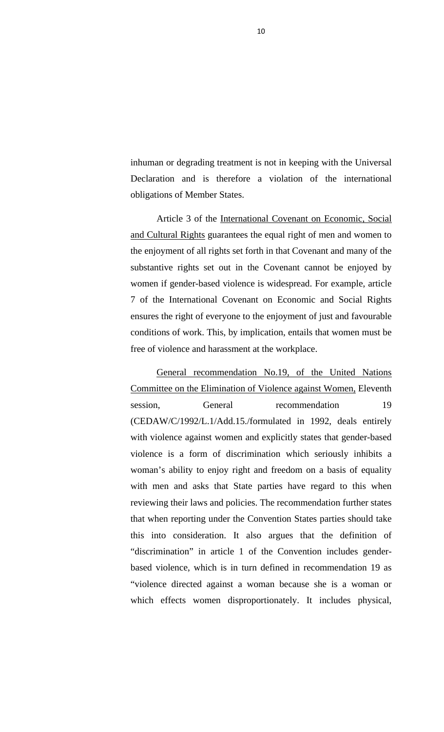inhuman or degrading treatment is not in keeping with the Universal Declaration and is therefore a violation of the international obligations of Member States.

 Article 3 of the International Covenant on Economic, Social and Cultural Rights guarantees the equal right of men and women to the enjoyment of all rights set forth in that Covenant and many of the substantive rights set out in the Covenant cannot be enjoyed by women if gender-based violence is widespread. For example, article 7 of the International Covenant on Economic and Social Rights ensures the right of everyone to the enjoyment of just and favourable conditions of work. This, by implication, entails that women must be free of violence and harassment at the workplace.

 General recommendation No.19, of the United Nations Committee on the Elimination of Violence against Women, Eleventh session, General recommendation 19 (CEDAW/C/1992/L.1/Add.15./formulated in 1992, deals entirely with violence against women and explicitly states that gender-based violence is a form of discrimination which seriously inhibits a woman's ability to enjoy right and freedom on a basis of equality with men and asks that State parties have regard to this when reviewing their laws and policies. The recommendation further states that when reporting under the Convention States parties should take this into consideration. It also argues that the definition of "discrimination" in article 1 of the Convention includes genderbased violence, which is in turn defined in recommendation 19 as "violence directed against a woman because she is a woman or which effects women disproportionately. It includes physical,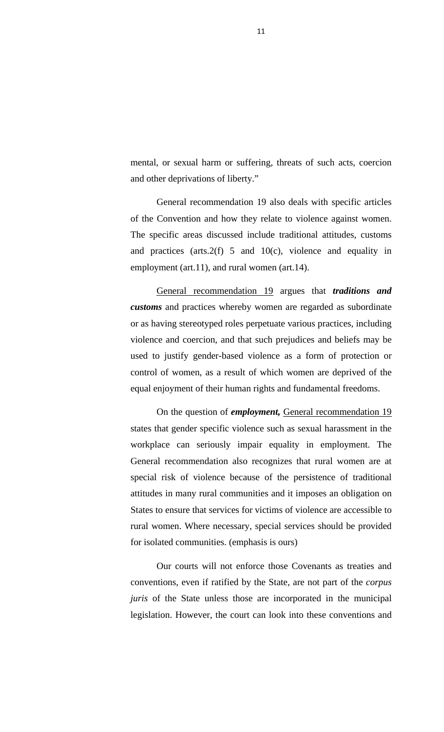mental, or sexual harm or suffering, threats of such acts, coercion and other deprivations of liberty."

 General recommendation 19 also deals with specific articles of the Convention and how they relate to violence against women. The specific areas discussed include traditional attitudes, customs and practices (arts.2(f) 5 and 10(c), violence and equality in employment (art.11), and rural women (art.14).

 General recommendation 19 argues that *traditions and customs* and practices whereby women are regarded as subordinate or as having stereotyped roles perpetuate various practices, including violence and coercion, and that such prejudices and beliefs may be used to justify gender-based violence as a form of protection or control of women, as a result of which women are deprived of the equal enjoyment of their human rights and fundamental freedoms.

 On the question of *employment,* General recommendation 19 states that gender specific violence such as sexual harassment in the workplace can seriously impair equality in employment. The General recommendation also recognizes that rural women are at special risk of violence because of the persistence of traditional attitudes in many rural communities and it imposes an obligation on States to ensure that services for victims of violence are accessible to rural women. Where necessary, special services should be provided for isolated communities. (emphasis is ours)

 Our courts will not enforce those Covenants as treaties and conventions, even if ratified by the State, are not part of the *corpus juris* of the State unless those are incorporated in the municipal legislation. However, the court can look into these conventions and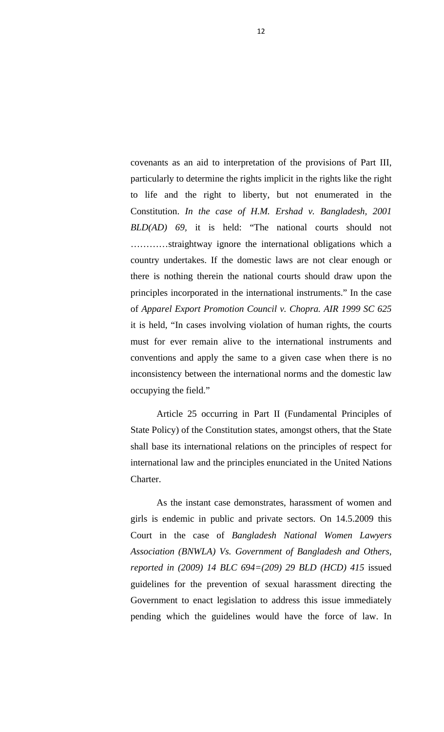covenants as an aid to interpretation of the provisions of Part III, particularly to determine the rights implicit in the rights like the right to life and the right to liberty, but not enumerated in the Constitution. *In the case of H.M. Ershad v. Bangladesh, 2001 BLD(AD) 69,* it is held: "The national courts should not …………straightway ignore the international obligations which a country undertakes. If the domestic laws are not clear enough or there is nothing therein the national courts should draw upon the principles incorporated in the international instruments." In the case of *Apparel Export Promotion Council v. Chopra. AIR 1999 SC 625*  it is held, "In cases involving violation of human rights, the courts must for ever remain alive to the international instruments and conventions and apply the same to a given case when there is no inconsistency between the international norms and the domestic law occupying the field."

 Article 25 occurring in Part II (Fundamental Principles of State Policy) of the Constitution states, amongst others, that the State shall base its international relations on the principles of respect for international law and the principles enunciated in the United Nations Charter.

 As the instant case demonstrates, harassment of women and girls is endemic in public and private sectors. On 14.5.2009 this Court in the case of *Bangladesh National Women Lawyers Association (BNWLA) Vs. Government of Bangladesh and Others, reported in (2009) 14 BLC 694=(209) 29 BLD (HCD) 415* issued guidelines for the prevention of sexual harassment directing the Government to enact legislation to address this issue immediately pending which the guidelines would have the force of law. In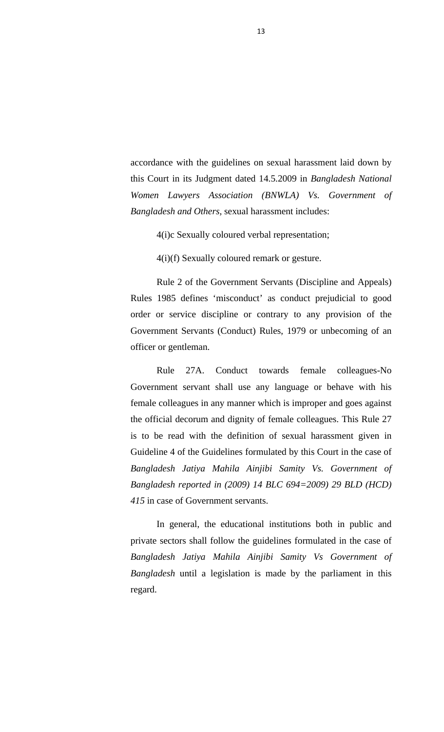accordance with the guidelines on sexual harassment laid down by this Court in its Judgment dated 14.5.2009 in *Bangladesh National Women Lawyers Association (BNWLA) Vs. Government of Bangladesh and Others,* sexual harassment includes:

4(i)c Sexually coloured verbal representation;

4(i)(f) Sexually coloured remark or gesture.

 Rule 2 of the Government Servants (Discipline and Appeals) Rules 1985 defines 'misconduct' as conduct prejudicial to good order or service discipline or contrary to any provision of the Government Servants (Conduct) Rules, 1979 or unbecoming of an officer or gentleman.

 Rule 27A. Conduct towards female colleagues-No Government servant shall use any language or behave with his female colleagues in any manner which is improper and goes against the official decorum and dignity of female colleagues. This Rule 27 is to be read with the definition of sexual harassment given in Guideline 4 of the Guidelines formulated by this Court in the case of *Bangladesh Jatiya Mahila Ainjibi Samity Vs. Government of Bangladesh reported in (2009) 14 BLC 694=2009) 29 BLD (HCD) 415* in case of Government servants.

 In general, the educational institutions both in public and private sectors shall follow the guidelines formulated in the case of *Bangladesh Jatiya Mahila Ainjibi Samity Vs Government of Bangladesh* until a legislation is made by the parliament in this regard.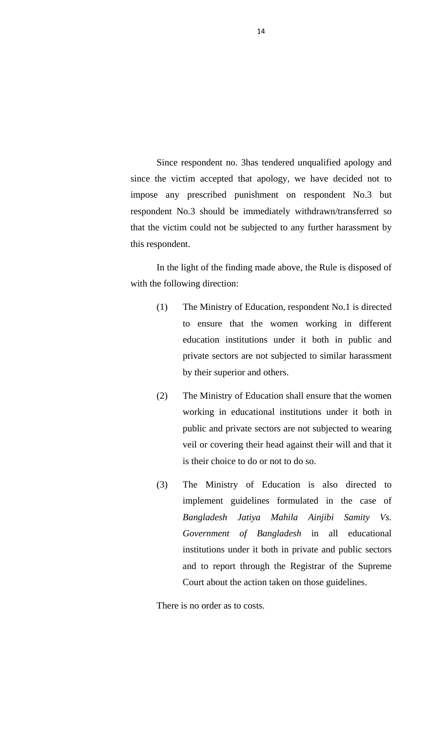Since respondent no. 3has tendered unqualified apology and since the victim accepted that apology, we have decided not to impose any prescribed punishment on respondent No.3 but respondent No.3 should be immediately withdrawn/transferred so that the victim could not be subjected to any further harassment by this respondent.

 In the light of the finding made above, the Rule is disposed of with the following direction:

- (1) The Ministry of Education, respondent No.1 is directed to ensure that the women working in different education institutions under it both in public and private sectors are not subjected to similar harassment by their superior and others.
- (2) The Ministry of Education shall ensure that the women working in educational institutions under it both in public and private sectors are not subjected to wearing veil or covering their head against their will and that it is their choice to do or not to do so.
- (3) The Ministry of Education is also directed to implement guidelines formulated in the case of *Bangladesh Jatiya Mahila Ainjibi Samity Vs. Government of Bangladesh* in all educational institutions under it both in private and public sectors and to report through the Registrar of the Supreme Court about the action taken on those guidelines.

There is no order as to costs.